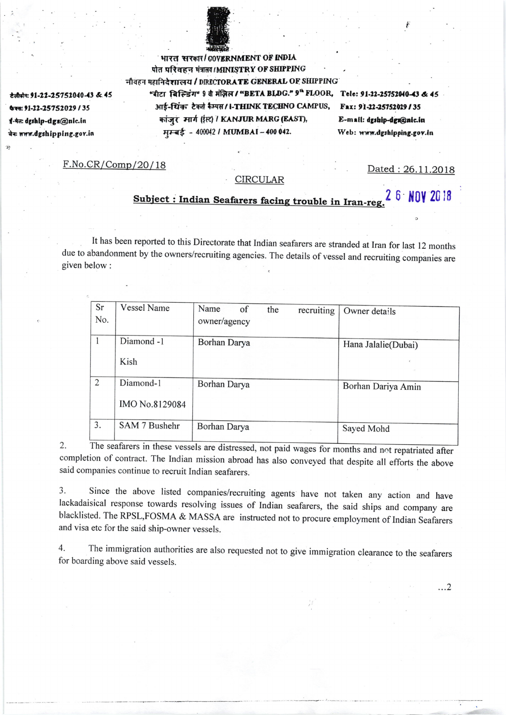

ਟੇਰੀफੀन: 91-22-25752040-43 & 45 फैक्स: 91-22-25752029 / 35 ई-मेल: dgshlp-dgs@nlc.in बेनः www.dgshipping.gov.in

भारत सरकार/COVERNMENT OF INDIA पीत परिवहन मंत्रालय / MINISTRY OF SHIPPING नीवहन महानिदेशालय / DIRECTORATE GENERAL OF SHIPPING "बीटा बिल्डिंग" 9 वे मंज़िल / "BETA BLDG." 9" FLOOR, Tele: 91-22-25752040-43 & 45 आई-थिंक टेक्नो कैम्पस / I-THINK TECHNO CAMPUS, कांजुर मार्ग (ईस) / KANJUR MARG (EAST), मम्बई - 400042 / MUMBAI - 400 042.

Fax: 91-22-25752029/35 E-mail: dgship-dgs@nic.in Web: www.dgshipping.gov.in

 $F.No.CR/Comp/20/18$ 

Dated: 26.11.2018

 $\ldots$ 2

## **CIRCULAR**

## Subject : Indian Seafarers facing trouble in Iran-reg. 2 6 NOV 2018

It has been reported to this Directorate that Indian seafarers are stranded at Iran for last 12 months due to abandonment by the owners/recruiting agencies. The details of vessel and recruiting companies are given below:

| Sr<br>No.    | <b>Vessel Name</b>          | Name<br>of<br>owner/agency | the | recruiting | Owner details       |
|--------------|-----------------------------|----------------------------|-----|------------|---------------------|
| $\mathbf{1}$ | Diamond -1<br>Kish          | Borhan Darya               |     |            | Hana Jalalie(Dubai) |
| 2            | Diamond-1<br>IMO No.8129084 | Borhan Darya               |     |            | Borhan Dariya Amin  |
| 3.           | SAM 7 Bushehr               | Borhan Darya               |     |            | Sayed Mohd          |

The seafarers in these vessels are distressed, not paid wages for months and not repatriated after 2. completion of contract. The Indian mission abroad has also conveyed that despite all efforts the above said companies continue to recruit Indian seafarers.

Since the above listed companies/recruiting agents have not taken any action and have 3. lackadaisical response towards resolving issues of Indian seafarers, the said ships and company are blacklisted. The RPSL, FOSMA & MASSA are instructed not to procure employment of Indian Seafarers and visa etc for the said ship-owner vessels.

The immigration authorities are also requested not to give immigration clearance to the seafarers  $4.$ for boarding above said vessels.